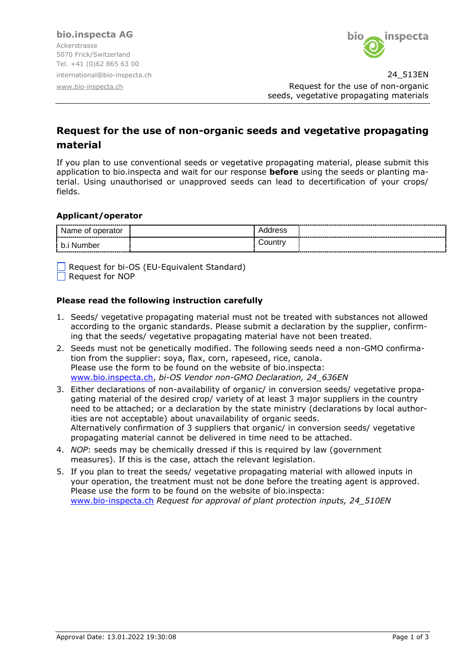

international@bio-inspecta.ch 24\_513EN [www.bio-inspecta.ch](http://www.bio-inspecta.ch/) **Request for the use of non-organic** seeds, vegetative propagating materials

# **Request for the use of non-organic seeds and vegetative propagating material**

If you plan to use conventional seeds or vegetative propagating material, please submit this application to bio.inspecta and wait for our response **before** using the seeds or planting material. Using unauthorised or unapproved seeds can lead to decertification of your crops/ fields.

### **Applicant/operator**

| ٦e<br>οL                                                                                                                                                                                                                             | 600 |  |
|--------------------------------------------------------------------------------------------------------------------------------------------------------------------------------------------------------------------------------------|-----|--|
| ~.<br>and the contract of the contract of the contract of the contract of the contract of the contract of the contract of the contract of the contract of the contract of the contract of the contract of the contract of the contra | .   |  |

 $\Box$  Request for bi-OS (EU-Equivalent Standard) Request for NOP

#### **Please read the following instruction carefully**

- 1. Seeds/ vegetative propagating material must not be treated with substances not allowed according to the organic standards. Please submit a declaration by the supplier, confirming that the seeds/ vegetative propagating material have not been treated.
- 2. Seeds must not be genetically modified. The following seeds need a non-GMO confirmation from the supplier: soya, flax, corn, rapeseed, rice, canola. Please use the form to be found on the website of bio.inspecta: [www.bio.inspecta.ch,](http://www.bio.inspecta.ch/) *bi-OS Vendor non-GMO Declaration, 24\_636EN*
- 3. Either declarations of non-availability of organic/ in conversion seeds/ vegetative propagating material of the desired crop/ variety of at least 3 major suppliers in the country need to be attached; or a declaration by the state ministry (declarations by local authorities are not acceptable) about unavailability of organic seeds. Alternatively confirmation of 3 suppliers that organic/ in conversion seeds/ vegetative propagating material cannot be delivered in time need to be attached.
- 4. *NOP*: seeds may be chemically dressed if this is required by law (government measures). If this is the case, attach the relevant legislation.
- 5. If you plan to treat the seeds/ vegetative propagating material with allowed inputs in your operation, the treatment must not be done before the treating agent is approved. Please use the form to be found on the website of bio.inspecta: www.bio-inspecta.ch *Request for approval of plant protection inputs, 24\_510EN*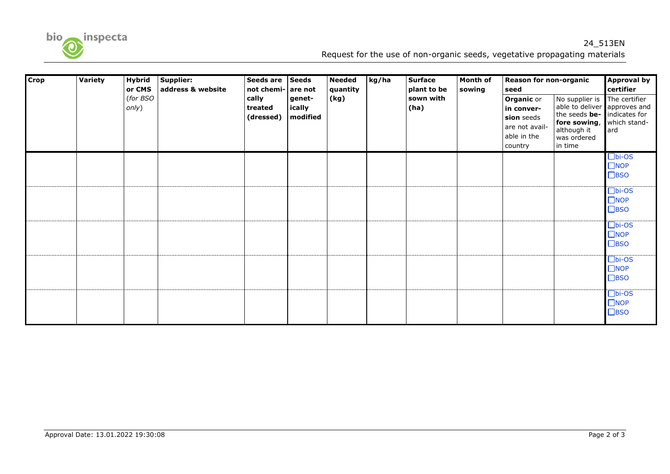

## 24\_513EN Request for the use of non-organic seeds, vegetative propagating materials

| <b>Crop</b> | Variety | <b>Hybrid</b>     | Supplier:         | Seeds are                                                                              | <b>Seeds</b> | <b>Needed</b> | kg/ha             | <b>Surface</b> | <b>Month of</b>                                                                           | Reason for non-organic                                                                                                                 |                                      | <b>Approval by</b> |
|-------------|---------|-------------------|-------------------|----------------------------------------------------------------------------------------|--------------|---------------|-------------------|----------------|-------------------------------------------------------------------------------------------|----------------------------------------------------------------------------------------------------------------------------------------|--------------------------------------|--------------------|
|             |         | or CMS            | address & website | not chemi-<br>are not<br>cally<br>genet-<br>ically<br>treated<br>(dressed)<br>modified |              | quantity      |                   | plant to be    | sowing                                                                                    | seed                                                                                                                                   |                                      | certifier          |
|             |         | (for BSO<br>only) |                   |                                                                                        | (kg)         |               | sown with<br>(ha) |                | <b>Organic or</b><br>in conver-<br>sion seeds<br>are not avail-<br>able in the<br>country | No supplier is<br>able to deliver approves and<br>the seeds be- indicates for<br>fore sowing,<br>although it<br>was ordered<br>in time | The certifier<br>which stand-<br>ard |                    |
|             |         |                   |                   |                                                                                        |              |               |                   |                |                                                                                           |                                                                                                                                        |                                      | $\square$ bi-OS    |
|             |         |                   |                   |                                                                                        |              |               |                   |                |                                                                                           |                                                                                                                                        |                                      | $\Box$ NOP         |
|             |         |                   |                   |                                                                                        |              |               |                   |                |                                                                                           |                                                                                                                                        |                                      | $\Box$ BSO         |
|             |         |                   |                   |                                                                                        |              |               |                   |                |                                                                                           |                                                                                                                                        |                                      | $\square$ bi-OS    |
|             |         |                   |                   |                                                                                        |              |               |                   |                |                                                                                           |                                                                                                                                        |                                      | $\n  INOP\n$       |
|             |         |                   |                   |                                                                                        |              |               |                   |                |                                                                                           |                                                                                                                                        |                                      | $\square$ BSO      |
|             |         |                   |                   |                                                                                        |              |               |                   |                |                                                                                           |                                                                                                                                        |                                      | $\square$ bi-OS    |
|             |         |                   |                   |                                                                                        |              |               |                   |                |                                                                                           |                                                                                                                                        |                                      | $\square$ NOP      |
|             |         |                   |                   |                                                                                        |              |               |                   |                |                                                                                           |                                                                                                                                        |                                      | $\Box$ BSO         |
|             |         |                   |                   |                                                                                        |              |               |                   |                |                                                                                           |                                                                                                                                        |                                      | $\square$ bi-OS    |
|             |         |                   |                   |                                                                                        |              |               |                   |                |                                                                                           |                                                                                                                                        |                                      | $\n  INOP\n$       |
|             |         |                   |                   |                                                                                        |              |               |                   |                |                                                                                           |                                                                                                                                        |                                      | $\square$ BSO      |
|             |         |                   |                   |                                                                                        |              |               |                   |                |                                                                                           |                                                                                                                                        |                                      | $\square$ bi-OS    |
|             |         |                   |                   |                                                                                        |              |               |                   |                |                                                                                           |                                                                                                                                        |                                      | $\square$ NOP      |
|             |         |                   |                   |                                                                                        |              |               |                   |                |                                                                                           |                                                                                                                                        |                                      | $\square$ BSO      |
|             |         |                   |                   |                                                                                        |              |               |                   |                |                                                                                           |                                                                                                                                        |                                      |                    |